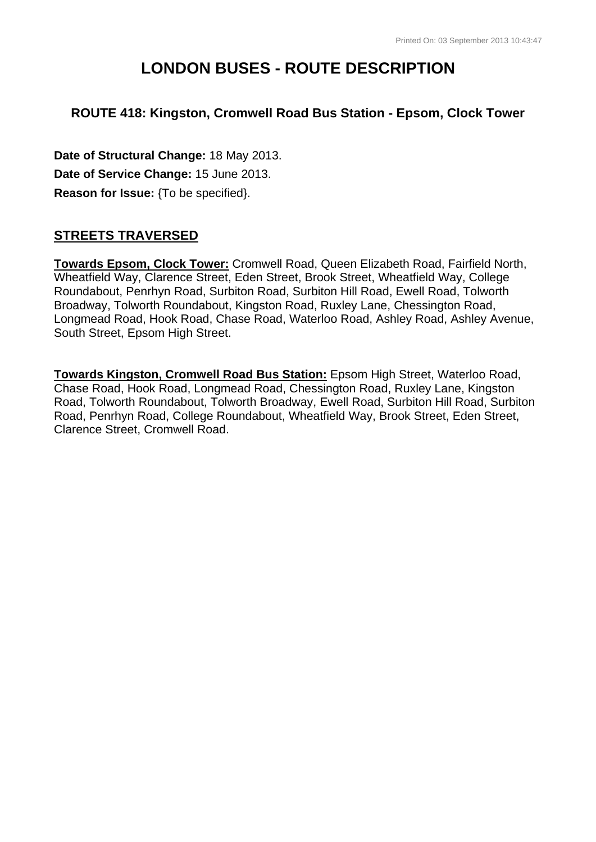# **LONDON BUSES - ROUTE DESCRIPTION**

## **ROUTE 418: Kingston, Cromwell Road Bus Station - Epsom, Clock Tower**

**Date of Structural Change:** 18 May 2013. **Date of Service Change:** 15 June 2013. **Reason for Issue:** {To be specified}.

### **STREETS TRAVERSED**

**Towards Epsom, Clock Tower:** Cromwell Road, Queen Elizabeth Road, Fairfield North, Wheatfield Way, Clarence Street, Eden Street, Brook Street, Wheatfield Way, College Roundabout, Penrhyn Road, Surbiton Road, Surbiton Hill Road, Ewell Road, Tolworth Broadway, Tolworth Roundabout, Kingston Road, Ruxley Lane, Chessington Road, Longmead Road, Hook Road, Chase Road, Waterloo Road, Ashley Road, Ashley Avenue, South Street, Epsom High Street.

**Towards Kingston, Cromwell Road Bus Station:** Epsom High Street, Waterloo Road, Chase Road, Hook Road, Longmead Road, Chessington Road, Ruxley Lane, Kingston Road, Tolworth Roundabout, Tolworth Broadway, Ewell Road, Surbiton Hill Road, Surbiton Road, Penrhyn Road, College Roundabout, Wheatfield Way, Brook Street, Eden Street, Clarence Street, Cromwell Road.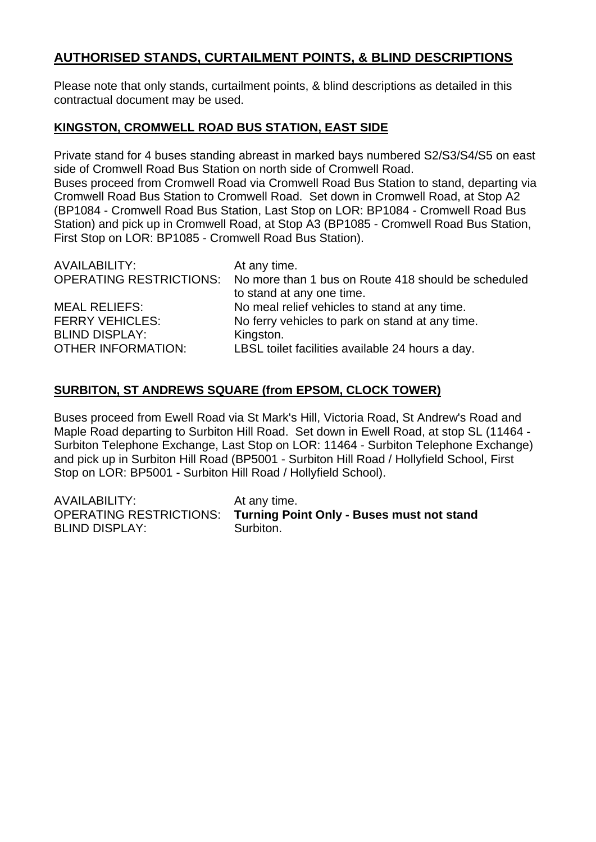## **AUTHORISED STANDS, CURTAILMENT POINTS, & BLIND DESCRIPTIONS**

Please note that only stands, curtailment points, & blind descriptions as detailed in this contractual document may be used.

#### **KINGSTON, CROMWELL ROAD BUS STATION, EAST SIDE**

Private stand for 4 buses standing abreast in marked bays numbered S2/S3/S4/S5 on east side of Cromwell Road Bus Station on north side of Cromwell Road. Buses proceed from Cromwell Road via Cromwell Road Bus Station to stand, departing via Cromwell Road Bus Station to Cromwell Road. Set down in Cromwell Road, at Stop A2 (BP1084 - Cromwell Road Bus Station, Last Stop on LOR: BP1084 - Cromwell Road Bus Station) and pick up in Cromwell Road, at Stop A3 (BP1085 - Cromwell Road Bus Station, First Stop on LOR: BP1085 - Cromwell Road Bus Station).

| AVAILABILITY:             | At any time.                                                                |
|---------------------------|-----------------------------------------------------------------------------|
|                           | OPERATING RESTRICTIONS: No more than 1 bus on Route 418 should be scheduled |
|                           | to stand at any one time.                                                   |
| <b>MEAL RELIEFS:</b>      | No meal relief vehicles to stand at any time.                               |
| <b>FERRY VEHICLES:</b>    | No ferry vehicles to park on stand at any time.                             |
| <b>BLIND DISPLAY:</b>     | Kingston.                                                                   |
| <b>OTHER INFORMATION:</b> | LBSL toilet facilities available 24 hours a day.                            |

#### **SURBITON, ST ANDREWS SQUARE (from EPSOM, CLOCK TOWER)**

Buses proceed from Ewell Road via St Mark's Hill, Victoria Road, St Andrew's Road and Maple Road departing to Surbiton Hill Road. Set down in Ewell Road, at stop SL (11464 - Surbiton Telephone Exchange, Last Stop on LOR: 11464 - Surbiton Telephone Exchange) and pick up in Surbiton Hill Road (BP5001 - Surbiton Hill Road / Hollyfield School, First Stop on LOR: BP5001 - Surbiton Hill Road / Hollyfield School).

| AVAILABILITY:         | At any time.                                                      |
|-----------------------|-------------------------------------------------------------------|
|                       | OPERATING RESTRICTIONS: Turning Point Only - Buses must not stand |
| <b>BLIND DISPLAY:</b> | Surbiton.                                                         |